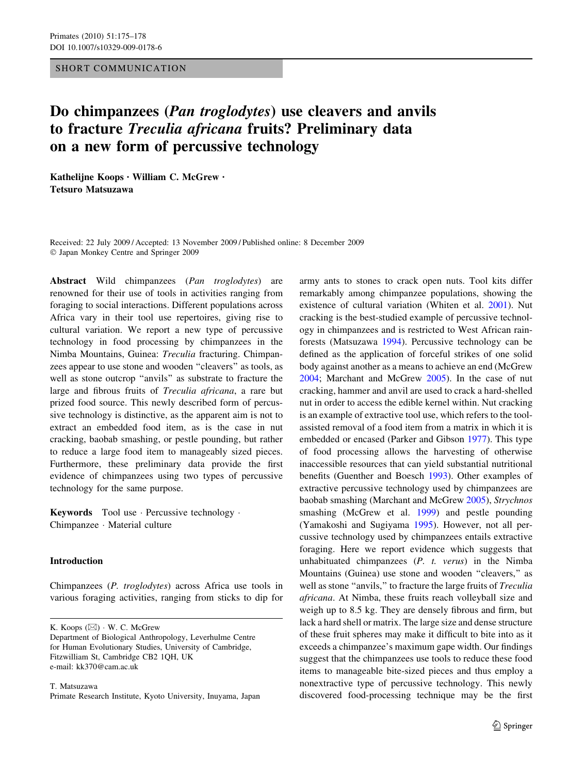#### SHORT COMMUNICATION

# Do chimpanzees (*Pan troglodytes*) use cleavers and anvils to fracture Treculia africana fruits? Preliminary data on a new form of percussive technology

Kathelijne Koops · William C. McGrew · Tetsuro Matsuzawa

Received: 22 July 2009 / Accepted: 13 November 2009 / Published online: 8 December 2009 Japan Monkey Centre and Springer 2009

Abstract Wild chimpanzees (Pan troglodytes) are renowned for their use of tools in activities ranging from foraging to social interactions. Different populations across Africa vary in their tool use repertoires, giving rise to cultural variation. We report a new type of percussive technology in food processing by chimpanzees in the Nimba Mountains, Guinea: Treculia fracturing. Chimpanzees appear to use stone and wooden ''cleavers'' as tools, as well as stone outcrop "anvils" as substrate to fracture the large and fibrous fruits of Treculia africana, a rare but prized food source. This newly described form of percussive technology is distinctive, as the apparent aim is not to extract an embedded food item, as is the case in nut cracking, baobab smashing, or pestle pounding, but rather to reduce a large food item to manageably sized pieces. Furthermore, these preliminary data provide the first evidence of chimpanzees using two types of percussive technology for the same purpose.

**Keywords** Tool use Percussive technology  $\cdot$ Chimpanzee · Material culture

## Introduction

Chimpanzees (P. troglodytes) across Africa use tools in various foraging activities, ranging from sticks to dip for

K. Koops  $(\boxtimes) \cdot W$ . C. McGrew

Department of Biological Anthropology, Leverhulme Centre for Human Evolutionary Studies, University of Cambridge, Fitzwilliam St, Cambridge CB2 1QH, UK e-mail: kk370@cam.ac.uk

T. Matsuzawa Primate Research Institute, Kyoto University, Inuyama, Japan army ants to stones to crack open nuts. Tool kits differ remarkably among chimpanzee populations, showing the existence of cultural variation (Whiten et al. [2001](#page-3-0)). Nut cracking is the best-studied example of percussive technology in chimpanzees and is restricted to West African rainforests (Matsuzawa [1994](#page-3-0)). Percussive technology can be defined as the application of forceful strikes of one solid body against another as a means to achieve an end (McGrew [2004](#page-3-0); Marchant and McGrew [2005\)](#page-3-0). In the case of nut cracking, hammer and anvil are used to crack a hard-shelled nut in order to access the edible kernel within. Nut cracking is an example of extractive tool use, which refers to the toolassisted removal of a food item from a matrix in which it is embedded or encased (Parker and Gibson [1977\)](#page-3-0). This type of food processing allows the harvesting of otherwise inaccessible resources that can yield substantial nutritional benefits (Guenther and Boesch [1993\)](#page-3-0). Other examples of extractive percussive technology used by chimpanzees are baobab smashing (Marchant and McGrew [2005\)](#page-3-0), Strychnos smashing (McGrew et al. [1999\)](#page-3-0) and pestle pounding (Yamakoshi and Sugiyama [1995\)](#page-3-0). However, not all percussive technology used by chimpanzees entails extractive foraging. Here we report evidence which suggests that unhabituated chimpanzees  $(P. t. \text{ versus})$  in the Nimba Mountains (Guinea) use stone and wooden ''cleavers,'' as well as stone "anvils," to fracture the large fruits of *Treculia* africana. At Nimba, these fruits reach volleyball size and weigh up to 8.5 kg. They are densely fibrous and firm, but lack a hard shell or matrix. The large size and dense structure of these fruit spheres may make it difficult to bite into as it exceeds a chimpanzee's maximum gape width. Our findings suggest that the chimpanzees use tools to reduce these food items to manageable bite-sized pieces and thus employ a nonextractive type of percussive technology. This newly discovered food-processing technique may be the first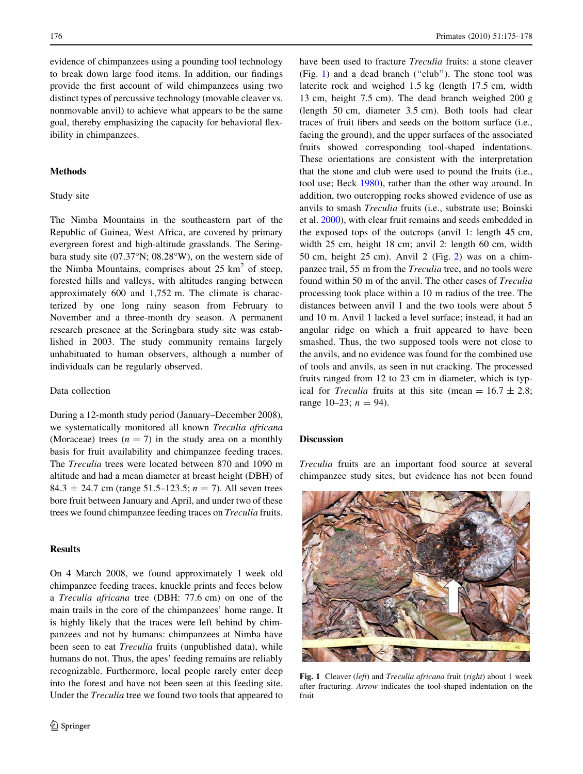evidence of chimpanzees using a pounding tool technology to break down large food items. In addition, our findings provide the first account of wild chimpanzees using two distinct types of percussive technology (movable cleaver vs. nonmovable anvil) to achieve what appears to be the same goal, thereby emphasizing the capacity for behavioral flexibility in chimpanzees.

## Methods

#### Study site

The Nimba Mountains in the southeastern part of the Republic of Guinea, West Africa, are covered by primary evergreen forest and high-altitude grasslands. The Seringbara study site  $(07.37°N; 08.28°W)$ , on the western side of the Nimba Mountains, comprises about  $25 \text{ km}^2$  of steep, forested hills and valleys, with altitudes ranging between approximately 600 and 1,752 m. The climate is characterized by one long rainy season from February to November and a three-month dry season. A permanent research presence at the Seringbara study site was established in 2003. The study community remains largely unhabituated to human observers, although a number of individuals can be regularly observed.

#### Data collection

During a 12-month study period (January–December 2008), we systematically monitored all known Treculia africana (Moraceae) trees  $(n = 7)$  in the study area on a monthly basis for fruit availability and chimpanzee feeding traces. The Treculia trees were located between 870 and 1090 m altitude and had a mean diameter at breast height (DBH) of 84.3  $\pm$  24.7 cm (range 51.5–123.5; *n* = 7). All seven trees bore fruit between January and April, and under two of these trees we found chimpanzee feeding traces on Treculia fruits.

#### **Results**

On 4 March 2008, we found approximately 1 week old chimpanzee feeding traces, knuckle prints and feces below a Treculia africana tree (DBH: 77.6 cm) on one of the main trails in the core of the chimpanzees' home range. It is highly likely that the traces were left behind by chimpanzees and not by humans: chimpanzees at Nimba have been seen to eat Treculia fruits (unpublished data), while humans do not. Thus, the apes' feeding remains are reliably recognizable. Furthermore, local people rarely enter deep into the forest and have not been seen at this feeding site. Under the Treculia tree we found two tools that appeared to have been used to fracture Treculia fruits: a stone cleaver (Fig. 1) and a dead branch (''club''). The stone tool was laterite rock and weighed 1.5 kg (length 17.5 cm, width 13 cm, height 7.5 cm). The dead branch weighed 200 g (length 50 cm, diameter 3.5 cm). Both tools had clear traces of fruit fibers and seeds on the bottom surface (i.e., facing the ground), and the upper surfaces of the associated fruits showed corresponding tool-shaped indentations. These orientations are consistent with the interpretation that the stone and club were used to pound the fruits (i.e., tool use; Beck [1980\)](#page-3-0), rather than the other way around. In addition, two outcropping rocks showed evidence of use as anvils to smash Treculia fruits (i.e., substrate use; Boinski et al. [2000\)](#page-3-0), with clear fruit remains and seeds embedded in the exposed tops of the outcrops (anvil 1: length 45 cm, width 25 cm, height 18 cm; anvil 2: length 60 cm, width 50 cm, height 25 cm). Anvil 2 (Fig. [2](#page-2-0)) was on a chimpanzee trail, 55 m from the Treculia tree, and no tools were found within 50 m of the anvil. The other cases of Treculia processing took place within a 10 m radius of the tree. The distances between anvil 1 and the two tools were about 5 and 10 m. Anvil 1 lacked a level surface; instead, it had an angular ridge on which a fruit appeared to have been smashed. Thus, the two supposed tools were not close to the anvils, and no evidence was found for the combined use of tools and anvils, as seen in nut cracking. The processed fruits ranged from 12 to 23 cm in diameter, which is typical for *Treculia* fruits at this site (mean =  $16.7 \pm 2.8$ ; range 10–23;  $n = 94$ ).

### Discussion

Treculia fruits are an important food source at several chimpanzee study sites, but evidence has not been found



Fig. 1 Cleaver (left) and Treculia africana fruit (right) about 1 week after fracturing. Arrow indicates the tool-shaped indentation on the fruit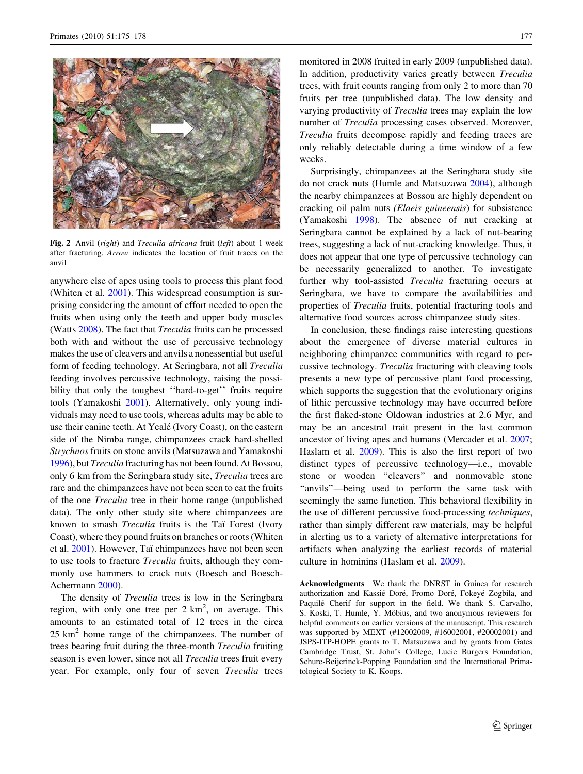<span id="page-2-0"></span>

Fig. 2 Anvil (right) and Treculia africana fruit (left) about 1 week after fracturing. Arrow indicates the location of fruit traces on the anvil

anywhere else of apes using tools to process this plant food (Whiten et al. [2001](#page-3-0)). This widespread consumption is surprising considering the amount of effort needed to open the fruits when using only the teeth and upper body muscles (Watts [2008](#page-3-0)). The fact that Treculia fruits can be processed both with and without the use of percussive technology makes the use of cleavers and anvils a nonessential but useful form of feeding technology. At Seringbara, not all Treculia feeding involves percussive technology, raising the possibility that only the toughest "hard-to-get" fruits require tools (Yamakoshi [2001](#page-3-0)). Alternatively, only young individuals may need to use tools, whereas adults may be able to use their canine teeth. At Yealé (Ivory Coast), on the eastern side of the Nimba range, chimpanzees crack hard-shelled Strychnos fruits on stone anvils (Matsuzawa and Yamakoshi [1996\)](#page-3-0), but Treculia fracturing has not been found. At Bossou, only 6 km from the Seringbara study site, Treculia trees are rare and the chimpanzees have not been seen to eat the fruits of the one Treculia tree in their home range (unpublished data). The only other study site where chimpanzees are known to smash *Treculia* fruits is the Taï Forest (Ivory Coast), where they pound fruits on branches or roots (Whiten et al. [2001](#page-3-0)). However, Taï chimpanzees have not been seen to use tools to fracture Treculia fruits, although they commonly use hammers to crack nuts (Boesch and Boesch-Achermann [2000](#page-3-0)).

The density of *Treculia* trees is low in the Seringbara region, with only one tree per  $2 \text{ km}^2$ , on average. This amounts to an estimated total of 12 trees in the circa  $25 \text{ km}^2$  home range of the chimpanzees. The number of trees bearing fruit during the three-month Treculia fruiting season is even lower, since not all *Treculia* trees fruit every year. For example, only four of seven Treculia trees

monitored in 2008 fruited in early 2009 (unpublished data). In addition, productivity varies greatly between Treculia trees, with fruit counts ranging from only 2 to more than 70 fruits per tree (unpublished data). The low density and varying productivity of Treculia trees may explain the low number of Treculia processing cases observed. Moreover, Treculia fruits decompose rapidly and feeding traces are only reliably detectable during a time window of a few weeks.

Surprisingly, chimpanzees at the Seringbara study site do not crack nuts (Humle and Matsuzawa [2004](#page-3-0)), although the nearby chimpanzees at Bossou are highly dependent on cracking oil palm nuts (Elaeis guineensis) for subsistence (Yamakoshi [1998\)](#page-3-0). The absence of nut cracking at Seringbara cannot be explained by a lack of nut-bearing trees, suggesting a lack of nut-cracking knowledge. Thus, it does not appear that one type of percussive technology can be necessarily generalized to another. To investigate further why tool-assisted Treculia fracturing occurs at Seringbara, we have to compare the availabilities and properties of Treculia fruits, potential fracturing tools and alternative food sources across chimpanzee study sites.

In conclusion, these findings raise interesting questions about the emergence of diverse material cultures in neighboring chimpanzee communities with regard to percussive technology. Treculia fracturing with cleaving tools presents a new type of percussive plant food processing, which supports the suggestion that the evolutionary origins of lithic percussive technology may have occurred before the first flaked-stone Oldowan industries at 2.6 Myr, and may be an ancestral trait present in the last common ancestor of living apes and humans (Mercader et al. [2007](#page-3-0); Haslam et al. [2009](#page-3-0)). This is also the first report of two distinct types of percussive technology—i.e., movable stone or wooden ''cleavers'' and nonmovable stone "anvils"—being used to perform the same task with seemingly the same function. This behavioral flexibility in the use of different percussive food-processing techniques, rather than simply different raw materials, may be helpful in alerting us to a variety of alternative interpretations for artifacts when analyzing the earliest records of material culture in hominins (Haslam et al. [2009\)](#page-3-0).

Acknowledgments We thank the DNRST in Guinea for research authorization and Kassié Doré, Fromo Doré, Fokeyé Zogbila, and Paquilé Cherif for support in the field. We thank S. Carvalho, S. Koski, T. Humle, Y. Möbius, and two anonymous reviewers for helpful comments on earlier versions of the manuscript. This research was supported by MEXT (#12002009, #16002001, #20002001) and JSPS-ITP-HOPE grants to T. Matsuzawa and by grants from Gates Cambridge Trust, St. John's College, Lucie Burgers Foundation, Schure-Beijerinck-Popping Foundation and the International Primatological Society to K. Koops.